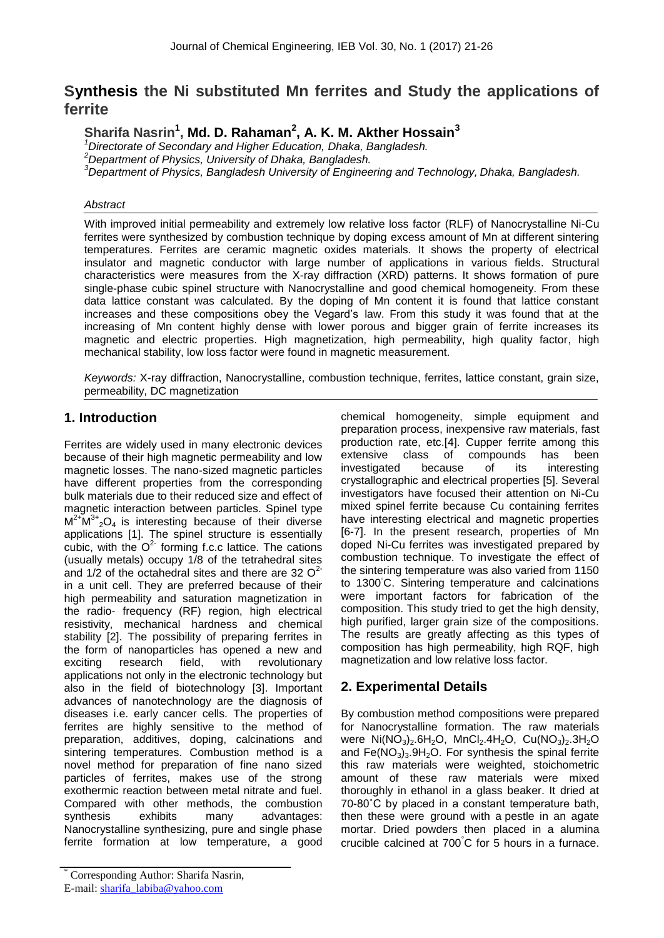# **Synthesis the Ni substituted Mn ferrites and Study the applications of ferrite**

# **Sharifa Nasrin<sup>1</sup> , Md. D. Rahaman<sup>2</sup> , A. K. M. Akther Hossain<sup>3</sup>**

*<sup>1</sup>Directorate of Secondary and Higher Education, Dhaka, Bangladesh.*

*<sup>2</sup>Department of Physics, University of Dhaka, Bangladesh.*

*<sup>3</sup>Department of Physics, Bangladesh University of Engineering and Technology, Dhaka, Bangladesh.*

## *Abstract*

With improved initial permeability and extremely low relative loss factor (RLF) of Nanocrystalline Ni-Cu ferrites were synthesized by combustion technique by doping excess amount of Mn at different sintering temperatures. Ferrites are ceramic magnetic oxides materials. It shows the property of electrical insulator and magnetic conductor with large number of applications in various fields. Structural characteristics were measures from the X-ray diffraction (XRD) patterns. It shows formation of pure single-phase cubic spinel structure with Nanocrystalline and good chemical homogeneity. From these data lattice constant was calculated. By the doping of Mn content it is found that lattice constant increases and these compositions obey the Vegard"s law. From this study it was found that at the increasing of Mn content highly dense with lower porous and bigger grain of ferrite increases its magnetic and electric properties. High magnetization, high permeability, high quality factor, high mechanical stability, low loss factor were found in magnetic measurement.

*Keywords:* X-ray diffraction, Nanocrystalline, combustion technique, ferrites, lattice constant, grain size, permeability, DC magnetization

## **1. Introduction**

Ferrites are widely used in many electronic devices because of their high magnetic permeability and low magnetic losses. The nano-sized magnetic particles have different properties from the corresponding bulk materials due to their reduced size and effect of magnetic interaction between particles. Spinel type  $M^{2+}M^{3+}{}_{2}O_{4}$  is interesting because of their diverse applications [1]. The spinel structure is essentially cubic, with the  $O^2$  forming f.c.c lattice. The cations (usually metals) occupy 1/8 of the tetrahedral sites and  $1/2$  of the octahedral sites and there are 32  $O^{2}$ in a unit cell. They are preferred because of their high permeability and saturation magnetization in the radio- frequency (RF) region, high electrical resistivity, mechanical hardness and chemical stability [2]. The possibility of preparing ferrites in the form of nanoparticles has opened a new and exciting research field, with revolutionary applications not only in the electronic technology but also in the field of biotechnology [3]. Important advances of nanotechnology are the diagnosis of diseases i.e. early cancer cells. The properties of ferrites are highly sensitive to the method of preparation, additives, doping, calcinations and sintering temperatures. Combustion method is a novel method for preparation of fine nano sized particles of ferrites, makes use of the strong exothermic reaction between metal nitrate and fuel. Compared with other methods, the combustion synthesis exhibits many advantages: Nanocrystalline synthesizing, pure and single phase ferrite formation at low temperature, a good

Corresponding Author: Sharifa Nasrin, E-mail: sharifa\_labiba@yahoo.com

chemical homogeneity, simple equipment and preparation process, inexpensive raw materials, fast production rate, etc.[4]. Cupper ferrite among this extensive class of compounds has been investigated because of its interesting crystallographic and electrical properties [5]. Several investigators have focused their attention on Ni-Cu mixed spinel ferrite because Cu containing ferrites have interesting electrical and magnetic properties [6-7]. In the present research, properties of Mn doped Ni-Cu ferrites was investigated prepared by combustion technique. To investigate the effect of the sintering temperature was also varied from 1150 to 1300◦C. Sintering temperature and calcinations were important factors for fabrication of the composition. This study tried to get the high density, high purified, larger grain size of the compositions. The results are greatly affecting as this types of composition has high permeability, high RQF, high magnetization and low relative loss factor.

## **2. Experimental Details**

By combustion method compositions were prepared for Nanocrystalline formation. The raw materials were  $Ni(NO<sub>3</sub>)<sub>2</sub>.6H<sub>2</sub>O$ ,  $MnCl<sub>2</sub>.4H<sub>2</sub>O$ ,  $Cu(NO<sub>3</sub>)<sub>2</sub>.3H<sub>2</sub>O$ and  $Fe(NO<sub>3</sub>)<sub>3</sub>·9H<sub>2</sub>O$ . For synthesis the spinal ferrite this raw materials were weighted, stoichometric amount of these raw materials were mixed thoroughly in ethanol in a glass beaker. It dried at 70-80˚C by placed in a constant temperature bath, then these were ground with a pestle in an agate mortar. Dried powders then placed in a alumina crucible calcined at  $700^{\circ}$ C for 5 hours in a furnace.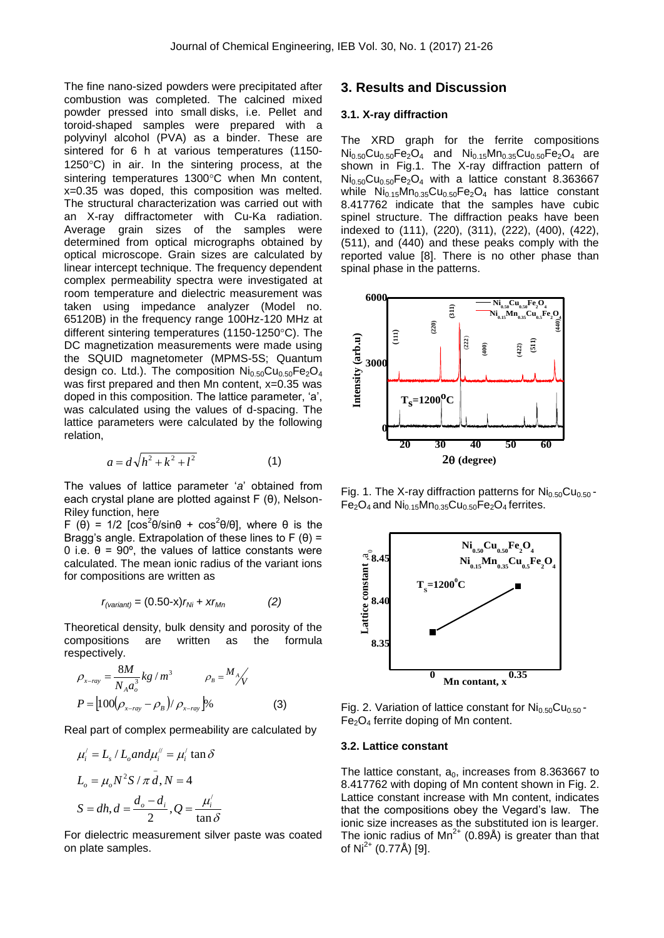The fine nano-sized powders were precipitated after combustion was completed. The calcined mixed powder pressed into small disks, i.e. Pellet and toroid-shaped samples were prepared with a polyvinyl alcohol (PVA) as a binder. These are sintered for 6 h at various temperatures (1150-  $1250^{\circ}$ C) in air. In the sintering process, at the sintering temperatures  $1300^{\circ}$ C when Mn content. x=0.35 was doped, this composition was melted. The structural characterization was carried out with an X-ray diffractometer with Cu-Ka radiation. Average grain sizes of the samples were determined from optical micrographs obtained by optical microscope. Grain sizes are calculated by linear intercept technique. The frequency dependent complex permeability spectra were investigated at room temperature and dielectric measurement was taken using impedance analyzer (Model no. 65120B) in the frequency range 100Hz-120 MHz at different sintering temperatures (1150-1250 $\textdegree$ C). The DC magnetization measurements were made using the SQUID magnetometer (MPMS-5S; Quantum design co. Ltd.). The composition  $Ni<sub>0.50</sub>Cu<sub>0.50</sub>Fe<sub>2</sub>O<sub>4</sub>$ was first prepared and then Mn content, x=0.35 was doped in this composition. The lattice parameter, 'a', was calculated using the values of d-spacing. The lattice parameters were calculated by the following relation,

$$
a = d\sqrt{h^2 + k^2 + l^2} \tag{1}
$$

The values of lattice parameter "*a*" obtained from each crystal plane are plotted against F (θ), Nelson-Riley function, here

F ( $\theta$ ) = 1/2 [cos<sup>2</sup> $\theta$ /sin $\theta$  + cos<sup>2</sup> $\theta$ / $\theta$ ], where  $\theta$  is the Bragg's angle. Extrapolation of these lines to F  $(\theta)$  = 0 i.e.  $θ = 90°$ , the values of lattice constants were calculated. The mean ionic radius of the variant ions for compositions are written as

$$
r_{(variant)} = (0.50-x)r_{Ni} + xr_{Mn}
$$
 (2)

Theoretical density, bulk density and porosity of the compositions are written as the formula respectively.

$$
\rho_{x-ray} = \frac{8M}{N_A a_o^3} kg/m^3 \qquad \rho_B = \frac{M_A}{\gamma_V}
$$
  
\n
$$
P = \left[100(\rho_{x-ray} - \rho_B)/\rho_{x-ray}\right] \% \tag{3}
$$

Real part of complex permeability are calculated by

$$
\mu'_i = L_s / L_o and \mu''_i = \mu'_i \tan \delta
$$
  
\n
$$
L_o = \mu_o N^2 S / \pi \bar{d}, N = 4
$$
  
\n
$$
S = dh, d = \frac{d_o - d_i}{2}, Q = \frac{\mu'_i}{\tan \delta}
$$

For dielectric measurement silver paste was coated on plate samples.

### **3. Results and Discussion**

### **3.1. X-ray diffraction**

The XRD graph for the ferrite compositions  $Ni<sub>0.50</sub>Cu<sub>0.50</sub>Fe<sub>2</sub>O<sub>4</sub>$  and  $Ni<sub>0.15</sub>Mn<sub>0.35</sub>Cu<sub>0.50</sub>Fe<sub>2</sub>O<sub>4</sub>$  are shown in Fig.1. The X-ray diffraction pattern of  $Ni<sub>0.50</sub>Cu<sub>0.50</sub>Fe<sub>2</sub>O<sub>4</sub>$  with a lattice constant 8.363667 while  $Ni<sub>0.15</sub>Mn<sub>0.35</sub>Cu<sub>0.50</sub>Fe<sub>2</sub>O<sub>4</sub>$  has lattice constant 8.417762 indicate that the samples have cubic spinel structure. The diffraction peaks have been indexed to (111), (220), (311), (222), (400), (422), (511), and (440) and these peaks comply with the reported value [8]. There is no other phase than spinal phase in the patterns.



Fig. 1. The X-ray diffraction patterns for  $Ni<sub>0.50</sub>Cu<sub>0.50</sub>$ - $Fe<sub>2</sub>O<sub>4</sub>$  and  $Ni<sub>0.15</sub>Mn<sub>0.35</sub>Cu<sub>0.50</sub>Fe<sub>2</sub>O<sub>4</sub>$  ferrites.



Fig. 2. Variation of lattice constant for  $Ni<sub>0.50</sub>Cu<sub>0.50</sub>$  - $Fe<sub>2</sub>O<sub>4</sub>$  ferrite doping of Mn content.

#### **3.2. Lattice constant**

The lattice constant,  $a_0$ , increases from 8.363667 to 8.417762 with doping of Mn content shown in Fig. 2. Lattice constant increase with Mn content, indicates that the compositions obey the Vegard's law. The ionic size increases as the substituted ion is learger. The ionic radius of  $Mn^{2+}$  (0.89Å) is greater than that of Ni<sup>2</sup>*<sup>+</sup>* (0.77Å) [9].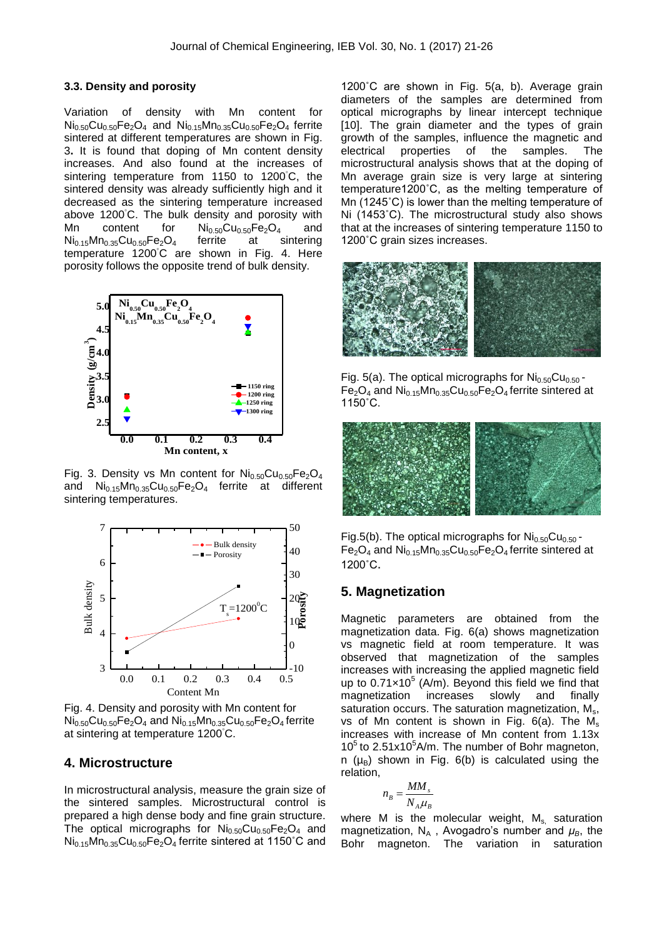#### **3.3. Density and porosity**

Variation of density with Mn content for  $Ni<sub>0.50</sub>Cu<sub>0.50</sub>Fe<sub>2</sub>O<sub>4</sub>$  and  $Ni<sub>0.15</sub>Mn<sub>0.35</sub>Cu<sub>0.50</sub>Fe<sub>2</sub>O<sub>4</sub>$  ferrite sintered at different temperatures are shown in Fig. 3**.** It is found that doping of Mn content density increases. And also found at the increases of sintering temperature from 1150 to 1200℃, the sintered density was already sufficiently high and it decreased as the sintering temperature increased above 1200◦C. The bulk density and porosity with Mn content for  $Ni_{0.50}Cu_{0.50}Fe_2O_4$  and<br> $Ni_{0.35}Cu_{0.50}Fe_2O_4$  ferrite at sintering  $\text{Ni}_{0.15} \text{Mn}_{0.35} \text{Cu}_{0.50} \text{Fe}_2 \text{O}_4$  ferrite at sintering temperature 1200℃ are shown in Fig. 4. Here porosity follows the opposite trend of bulk density.



Fig. 3. Density vs Mn content for  $Ni<sub>0.50</sub>Cu<sub>0.50</sub>Fe<sub>2</sub>O<sub>4</sub>$ and  $\text{Ni}_{0.15}\text{Mn}_{0.35}\text{Cu}_{0.50}\text{Fe}_2\text{O}_4$  ferrite at different sintering temperatures.



Fig. 4. Density and porosity with Mn content for  $\text{Ni}_{0.50}\text{Cu}_{0.50}\text{Fe}_{2}\text{O}_{4}$  and  $\text{Ni}_{0.15}\text{Mn}_{0.35}\text{Cu}_{0.50}\text{Fe}_{2}\text{O}_{4}$  ferrite at sintering at temperature 1200◦C.

## **4. Microstructure**

In microstructural analysis, measure the grain size of the sintered samples. Microstructural control is prepared a high dense body and fine grain structure. The optical micrographs for  $Ni<sub>0.50</sub>Cu<sub>0.50</sub>Fe<sub>2</sub>O<sub>4</sub>$  and  $\text{Ni}_{0.15}$ Mn<sub>0.35</sub>Cu<sub>0.50</sub>Fe<sub>2</sub>O<sub>4</sub> ferrite sintered at 1150°C and

1200˚C are shown in Fig. 5(a, b). Average grain diameters of the samples are determined from optical micrographs by linear intercept technique [10]. The grain diameter and the types of grain growth of the samples, influence the magnetic and electrical properties of the samples. The microstructural analysis shows that at the doping of Mn average grain size is very large at sintering temperature1200˚C, as the melting temperature of Mn (1245˚C) is lower than the melting temperature of Ni (1453˚C). The microstructural study also shows that at the increases of sintering temperature 1150 to 1200°C grain sizes increases.



Fig. 5(a). The optical micrographs for  $Ni<sub>0.50</sub>Cu<sub>0.50</sub>$  - $Fe<sub>2</sub>O<sub>4</sub>$  and  $Ni<sub>0.15</sub>Mn<sub>0.35</sub>Cu<sub>0.50</sub>Fe<sub>2</sub>O<sub>4</sub>$  ferrite sintered at 1150˚C.



Fig.5(b). The optical micrographs for  $Ni<sub>0.50</sub>Cu<sub>0.50</sub>$  - $Fe<sub>2</sub>O<sub>4</sub>$  and  $Ni<sub>0.15</sub>Mn<sub>0.35</sub>Cu<sub>0.50</sub>Fe<sub>2</sub>O<sub>4</sub>$  ferrite sintered at 1200˚C.

## **5. Magnetization**

Magnetic parameters are obtained from the magnetization data. Fig. 6(a) shows magnetization vs magnetic field at room temperature. It was observed that magnetization of the samples increases with increasing the applied magnetic field up to  $0.71 \times 10^5$  (A/m). Beyond this field we find that magnetization increases slowly and finally saturation occurs. The saturation magnetization,  $M_s$ , vs of Mn content is shown in Fig.  $6(a)$ . The M<sub>s</sub> increases with increase of Mn content from 1.13x  $10^5$  to 2.51x10<sup>5</sup>A/m. The number of Bohr magneton, n  $(\mu_B)$  shown in Fig. 6(b) is calculated using the relation,

$$
n_B = \frac{MM_s}{N_A \mu_B}
$$

where M is the molecular weight,  $M_s$  saturation magnetization,  $N_A$ , Avogadro's number and  $\mu_B$ , the Bohr magneton. The variation in saturation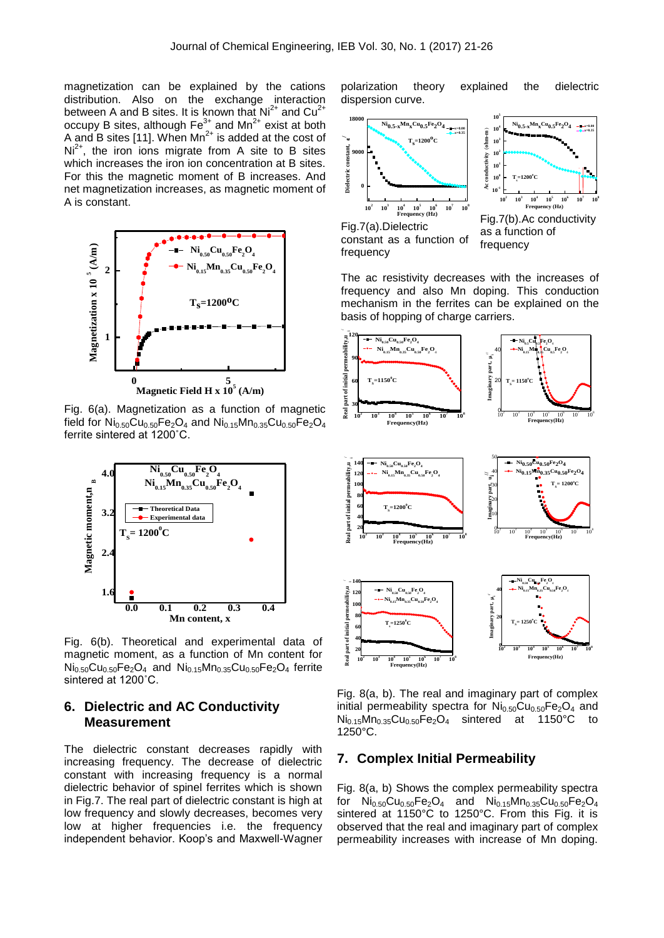magnetization can be explained by the cations distribution. Also on the exchange interaction between A and B sites. It is known that Ni<sup>2+</sup> and Cu<sup>2+</sup> occupy B sites, although  $\text{Fe}^{3+}$  and Mn<sup>2+</sup> exist at both A and B sites [11]. When  $Mn^{2+}$  is added at the cost of  $Ni<sup>2+</sup>$ , the iron ions migrate from A site to B sites which increases the iron ion concentration at B sites. For this the magnetic moment of B increases. And net magnetization increases, as magnetic moment of A is constant.



Fig. 6(a). Magnetization as a function of magnetic field for  $Ni_{0.50}Cu_{0.50}Fe_2O_4$  and  $Ni_{0.15}Mn_{0.35}Cu_{0.50}Fe_2O_4$ ferrite sintered at 1200˚C.



Fig. 6(b). Theoretical and experimental data of magnetic moment, as a function of Mn content for  $Ni_{0.50}Cu_{0.50}Fe_2O_4$  and  $Ni_{0.15}Mn_{0.35}Cu_{0.50}Fe_2O_4$  ferrite sintered at 1200˚C.

## **6. Dielectric and AC Conductivity Measurement**

The dielectric constant decreases rapidly with increasing frequency. The decrease of dielectric constant with increasing frequency is a normal dielectric behavior of spinel ferrites which is shown in Fig.7. The real part of dielectric constant is high at low frequency and slowly decreases, becomes very low at higher frequencies i.e. the frequency independent behavior. Koop"s and Maxwell-Wagner polarization theory explained the dielectric dispersion curve.



The ac resistivity decreases with the increases of frequency and also Mn doping. This conduction mechanism in the ferrites can be explained on the basis of hopping of charge carriers.



Fig. 8(a, b). The real and imaginary part of complex initial permeability spectra for  $Ni<sub>0.50</sub>Cu<sub>0.50</sub>Fe<sub>2</sub>O<sub>4</sub>$  and  $Ni<sub>0.15</sub>Mn<sub>0.35</sub>Cu<sub>0.50</sub>Fe<sub>2</sub>O<sub>4</sub>$  sintered at 1150°C to 1250°C.

## **7. Complex Initial Permeability**

Fig. 8(a, b) Shows the complex permeability spectra for  $Ni_{0.50}Cu_{0.50}Fe_2O_4$  and  $Ni_{0.15}Mn_{0.35}Cu_{0.50}Fe_2O_4$ sintered at 1150°C to 1250°C. From this Fig. it is observed that the real and imaginary part of complex permeability increases with increase of Mn doping.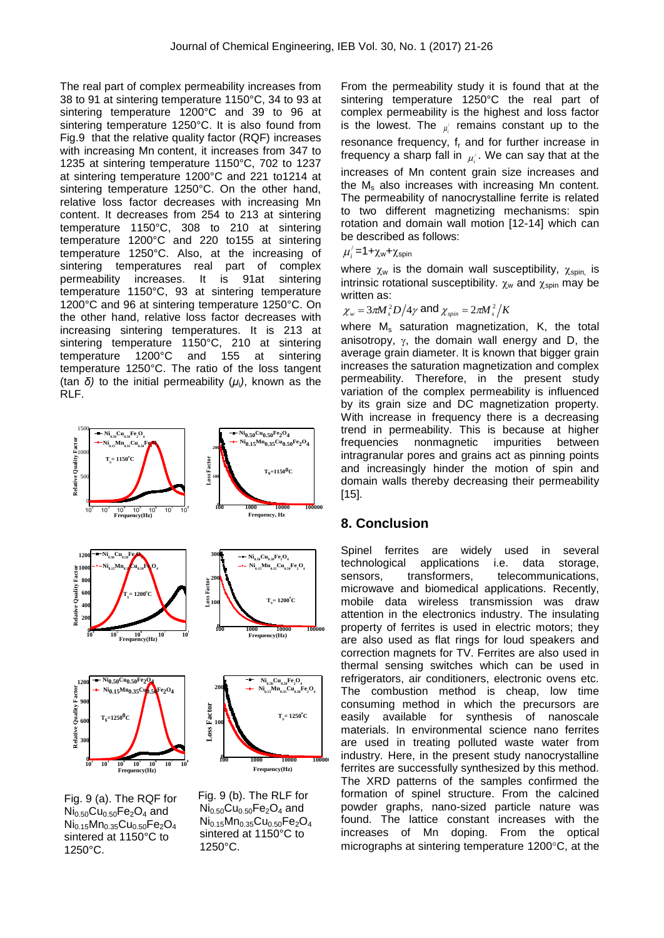The real part of complex permeability increases from 38 to 91 at sintering temperature 1150°C, 34 to 93 at sintering temperature 1200°C and 39 to 96 at sintering temperature 1250°C. It is also found from Fig.9 that the relative quality factor (RQF) increases with increasing Mn content, it increases from 347 to 1235 at sintering temperature 1150°C, 702 to 1237 at sintering temperature 1200°C and 221 to1214 at sintering temperature 1250°C. On the other hand, relative loss factor decreases with increasing Mn content. It decreases from 254 to 213 at sintering temperature 1150°C, 308 to 210 at sintering temperature 1200°C and 220 to155 at sintering temperature 1250°C. Also, at the increasing of sintering temperatures real part of complex permeability increases. It is 91at sintering temperature 1150°C, 93 at sintering temperature 1200°C and 96 at sintering temperature 1250°C. On the other hand, relative loss factor decreases with increasing sintering temperatures. It is 213 at sintering temperature 1150°C, 210 at sintering temperature 1200°C and 155 at sintering temperature 1250°C. The ratio of the loss tangent (tan *δ)* to the initial permeability (*μ*i*)*, known as the RLF.



Fig. 9 (a). The RQF for  $Ni_{0.50}Cu_{0.50}Fe_2O_4$  and  $Ni_{0.15}Mn_{0.35}Cu_{0.50}Fe<sub>2</sub>O<sub>4</sub>$ sintered at 1150°C to 1250°C.

Fig. 9 (b). The RLF for  $Ni_{0.50}Cu_{0.50}Fe_2O_4$  and  $Ni_{0.15}Mn_{0.35}Cu_{0.50}Fe_2O_4$ sintered at 1150°C to 1250°C.

From the permeability study it is found that at the sintering temperature 1250°C the real part of complex permeability is the highest and loss factor is the lowest. The  $\mu_i'$  remains constant up to the resonance frequency,  $f_r$  and for further increase in frequency a sharp fall in  $\mu_i'$ . We can say that at the increases of Mn content grain size increases and the  $M_s$  also increases with increasing Mn content. The permeability of nanocrystalline ferrite is related to two different magnetizing mechanisms: spin rotation and domain wall motion [12-14] which can be described as follows:

 $\mu_i'$ =1+ $\chi_w$ + $\chi_{\rm spin}$ 

where  $\chi_w$  is the domain wall susceptibility,  $\chi_{spin}$  is intrinsic rotational susceptibility.  $\chi_w$  and  $\chi_{spin}$  may be written as:

$$
\chi_w = 3\pi M_s^2 D/4\gamma \text{ and } \chi_{spin} = 2\pi M_s^2/K
$$

where  $M_s$  saturation magnetization, K, the total anisotropy,  $\gamma$ , the domain wall energy and D, the average grain diameter. It is known that bigger grain increases the saturation magnetization and complex permeability. Therefore, in the present study variation of the complex permeability is influenced by its grain size and DC magnetization property. With increase in frequency there is a decreasing trend in permeability. This is because at higher frequencies nonmagnetic impurities between intragranular pores and grains act as pinning points and increasingly hinder the motion of spin and domain walls thereby decreasing their permeability [15].

## **8. Conclusion**

**100 10000 10000 10000 industry.** Here, in the present study nanocrystalline Spinel ferrites are widely used in several technological applications i.e. data storage, sensors, transformers, telecommunications, microwave and biomedical applications. Recently, mobile data wireless transmission was draw attention in the electronics industry. The insulating property of ferrites is used in electric motors; they are also used as flat rings for loud speakers and correction magnets for TV. Ferrites are also used in thermal sensing switches which can be used in refrigerators, air conditioners, electronic ovens etc. The combustion method is cheap, low time consuming method in which the precursors are easily available for synthesis of nanoscale materials. In environmental science nano ferrites are used in treating polluted waste water from ferrites are successfully synthesized by this method. The XRD patterns of the samples confirmed the formation of spinel structure. From the calcined powder graphs, nano-sized particle nature was found. The lattice constant increases with the increases of Mn doping. From the optical micrographs at sintering temperature 1200°C, at the